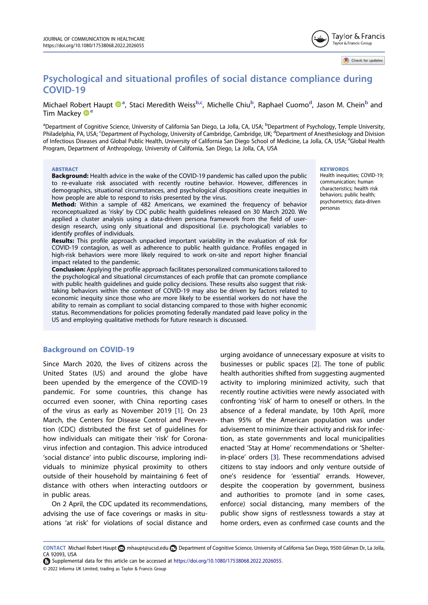Check for updates

# Psychological and situational profiles of social distance compliance during COVID-19

Michael Robert Haupt  $\mathbf{D}^{a}$ , Staci Meredith Weiss<sup>b,c</sup>, Michelle Chiu<sup>b</sup>, Raphael Cuomo<sup>d</sup>, Jason M. Chein<sup>b</sup> and Tim Mackey  $\mathbf{D}^e$ 

<sup>a</sup>Department of Cognitive Science, University of California San Diego, La Jolla, CA, USA; <sup>b</sup>Department of Psychology, Temple University, Philadelphia, PA, USA; <sup>c</sup>Department of Psychology, University of Cambridge, Cambridge, UK; <sup>d</sup>Department of Anesthesiology and Division of Infectious Diseases and Global Public Health, University of California San Diego School of Medicine, La Jolla, CA, USA; <sup>e</sup>Global Health Program, Department of Anthropology, University of California, San Diego, La Jolla, CA, USA

#### **ABSTRACT**

Background: Health advice in the wake of the COVID-19 pandemic has called upon the public to re-evaluate risk associated with recently routine behavior. However, differences in demographics, situational circumstances, and psychological dispositions create inequities in how people are able to respond to risks presented by the virus.

Method: Within a sample of 482 Americans, we examined the frequency of behavior reconceptualized as 'risky' by CDC public health guidelines released on 30 March 2020. We applied a cluster analysis using a data-driven persona framework from the field of userdesign research, using only situational and dispositional (i.e. psychological) variables to identify profiles of individuals.

Results: This profile approach unpacked important variability in the evaluation of risk for COVID-19 contagion, as well as adherence to public health guidance. Profiles engaged in high-risk behaviors were more likely required to work on-site and report higher financial impact related to the pandemic.

Conclusion: Applying the profile approach facilitates personalized communications tailored to the psychological and situational circumstances of each profile that can promote compliance with public health guidelines and guide policy decisions. These results also suggest that risktaking behaviors within the context of COVID-19 may also be driven by factors related to economic inequity since those who are more likely to be essential workers do not have the ability to remain as compliant to social distancing compared to those with higher economic status. Recommendations for policies promoting federally mandated paid leave policy in the US and employing qualitative methods for future research is discussed.

### **KEYWORDS**

Health inequities; COVID-19; communication; human characteristics; health risk behaviors; public health; psychometrics; data-driven personas

# Background on COVID-19

Since March 2020, the lives of citizens across the United States (US) and around the globe have been upended by the emergence of the COVID-19 pandemic. For some countries, this change has occurred even sooner, with China reporting cases of the virus as early as November 2019 [\[1](#page-8-0)]. On 23 March, the Centers for Disease Control and Prevention (CDC) distributed the first set of guidelines for how individuals can mitigate their 'risk' for Coronavirus infection and contagion. This advice introduced 'social distance' into public discourse, imploring individuals to minimize physical proximity to others outside of their household by maintaining 6 feet of distance with others when interacting outdoors or in public areas.

On 2 April, the CDC updated its recommendations, advising the use of face coverings or masks in situations 'at risk' for violations of social distance and

urging avoidance of unnecessary exposure at visits to businesses or public spaces [[2\]](#page-8-1). The tone of public health authorities shifted from suggesting augmented activity to imploring minimized activity, such that recently routine activities were newly associated with confronting 'risk' of harm to oneself or others. In the absence of a federal mandate, by 10th April, more than 95% of the American population was under advisement to minimize their activity and risk for infection, as state governments and local municipalities enacted 'Stay at Home' recommendations or 'Shelterin-place' orders [[3\]](#page-8-2). These recommendations advised citizens to stay indoors and only venture outside of one's residence for 'essential' errands. However, despite the cooperation by government, business and authorities to promote (and in some cases, enforce) social distancing, many members of the public show signs of restlessness towards a stay at home orders, even as confirmed case counts and the

© 2022 Informa UK Limited, trading as Taylor & Francis Group Supplemental data for this article can be accessed at [https://doi.org/10.1080/17538068.2022.2026055.](https://doi.org/10.1080/17538068.2022.2026055)

CONTACT Michael Robert Haupt [mhaupt@ucsd.edu](mailto:mhaupt@ucsd.edu) Department of Cognitive Science, University of California San Diego, 9500 Gilman Dr, La Jolla, CA 92093, USA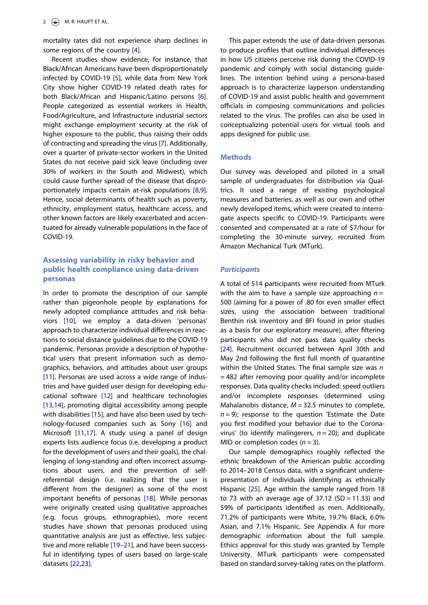mortality rates did not experience sharp declines in some regions of the country [\[4\]](#page-8-3).

<span id="page-1-0"></span>Recent studies show evidence, for instance, that Black/African Americans have been disproportionately infected by COVID-19 [[5](#page-8-4)], while data from New York City show higher COVID-19 related death rates for both Black/African and Hispanic/Latino persons [[6\]](#page-8-5). People categorized as essential workers in Health, Food/Agriculture, and Infrastructure industrial sectors might exchange employment security at the risk of higher exposure to the public, thus raising their odds of contracting and spreading the virus [[7\]](#page-8-6). Additionally, over a quarter of private-sector workers in the United States do not receive paid sick leave (including over 30% of workers in the South and Midwest), which could cause further spread of the disease that disproportionately impacts certain at-risk populations [\[8](#page-8-7),[9\]](#page-8-8). Hence, social determinants of health such as poverty, ethnicity, employment status, healthcare access, and other known factors are likely exacerbated and accentuated for already vulnerable populations in the face of COVID-19.

# Assessing variability in risky behavior and public health compliance using data-driven personas

<span id="page-1-5"></span><span id="page-1-4"></span><span id="page-1-3"></span><span id="page-1-2"></span><span id="page-1-1"></span>In order to promote the description of our sample rather than pigeonhole people by explanations for newly adopted compliance attitudes and risk behaviors [\[10\]](#page-8-9), we employ a data-driven 'personas' approach to characterize individual differences in reactions to social distance guidelines due to the COVID-19 pandemic. Personas provide a description of hypothetical users that present information such as demographics, behaviors, and attitudes about user groups [[11](#page-8-10)]. Personas are used across a wide range of industries and have guided user design for developing educational software [[12](#page-8-11)] and healthcare technologies [[13](#page-8-12)[,14](#page-8-13)], promoting digital accessibility among people with disabilities [\[15\]](#page-8-14), and have also been used by technology-focused companies such as Sony [\[16\]](#page-8-15) and Microsoft [\[11,](#page-8-10)[17\]](#page-8-16). A study using a panel of design experts lists audience focus (i.e. developing a product for the development of users and their goals), the challenging of long-standing and often incorrect assumptions about users, and the prevention of selfreferential design (i.e. realizing that the user is different from the designer) as some of the most important benefits of personas [[18](#page-8-17)]. While personas were originally created using qualitative approaches (e.g. focus groups, ethnographies), more recent studies have shown that personas produced using quantitative analysis are just as effective, less subjective and more reliable [19–21], and have been successful in identifying types of users based on large-scale datasets [[22,](#page-8-18)[23](#page-8-19)].

This paper extends the use of data-driven personas to produce profiles that outline individual differences in how US citizens perceive risk during the COVID-19 pandemic and comply with social distancing guidelines. The intention behind using a persona-based approach is to characterize layperson understanding of COVID-19 and assist public health and government officials in composing communications and policies related to the virus. The profiles can also be used in conceptualizing potential users for virtual tools and apps designed for public use.

### **Methods**

Our survey was developed and piloted in a small sample of undergraduates for distribution via Qualtrics. It used a range of existing psychological measures and batteries, as well as our own and other newly developed items, which were created to interrogate aspects specific to COVID-19. Participants were consented and compensated at a rate of \$7/hour for completing the 30-minute survey, recruited from Amazon Mechanical Turk (MTurk).

### **Participants**

<span id="page-1-8"></span>A total of 514 participants were recruited from MTurk with the aim to have a sample size approaching  $n =$ 500 (aiming for a power of .80 for even smaller effect sizes, using the association between traditional Benthin risk inventory and BFI found in prior studies as a basis for our exploratory measure), after filtering participants who did not pass data quality checks [\[24\]](#page-8-20). Recruitment occurred between April 30th and May 2nd following the first full month of quarantine within the United States. The final sample size was  $n$ = 482 after removing poor quality and/or incomplete responses. Data quality checks included: speed outliers and/or incomplete responses (determined using Mahalanobis distance,  $M = 32.5$  minutes to complete,  $n = 9$ ; response to the question 'Estimate the Date you first modified your behavior due to the Coronavirus' (to identify malingerers,  $n = 20$ ); and duplicate MID or completion codes  $(n = 3)$ .

<span id="page-1-7"></span><span id="page-1-6"></span>Our sample demographics roughly reflected the ethnic breakdown of the American public according to 2014–2018 Census data, with a significant underrepresentation of individuals identifying as ethnically Hispanic [[25\]](#page-9-0). Age within the sample ranged from 18 to 73 with an average age of  $37.12$  (SD = 11.33) and 59% of participants identified as men. Additionally, 71.2% of participants were White, 19.7% Black, 6.0% Asian, and 7.1% Hispanic. See Appendix A for more demographic information about the full sample. Ethics approval for this study was granted by Temple University. MTurk participants were compensated based on standard survey-taking rates on the platform.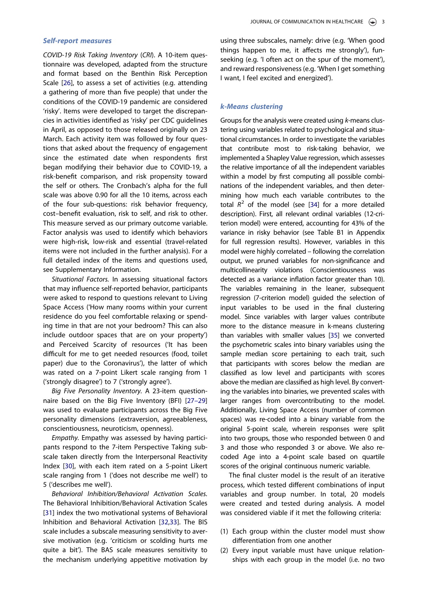#### Self-report measures

COVID-19 Risk Taking Inventory (CRI). A 10-item questionnaire was developed, adapted from the structure and format based on the Benthin Risk Perception Scale [\[26](#page-9-1)], to assess a set of activities (e.g. attending a gathering of more than five people) that under the conditions of the COVID-19 pandemic are considered 'risky'. Items were developed to target the discrepancies in activities identified as 'risky' per CDC guidelines in April, as opposed to those released originally on 23 March. Each activity item was followed by four questions that asked about the frequency of engagement since the estimated date when respondents first began modifying their behavior due to COVID-19, a risk-benefit comparison, and risk propensity toward the self or others. The Cronbach's alpha for the full scale was above 0.90 for all the 10 items, across each of the four sub-questions: risk behavior frequency, cost–benefit evaluation, risk to self, and risk to other. This measure served as our primary outcome variable. Factor analysis was used to identify which behaviors were high-risk, low-risk and essential (travel-related items were not included in the further analysis). For a full detailed index of the items and questions used, see Supplementary Information.

Situational Factors. In assessing situational factors that may influence self-reported behavior, participants were asked to respond to questions relevant to Living Space Access ('How many rooms within your current residence do you feel comfortable relaxing or spending time in that are not your bedroom? This can also include outdoor spaces that are on your property') and Perceived Scarcity of resources ('It has been difficult for me to get needed resources (food, toilet paper) due to the Coronavirus'), the latter of which was rated on a 7-point Likert scale ranging from 1 ('strongly disagree') to 7 ('strongly agree').

<span id="page-2-0"></span>Big Five Personality Inventory. A 23-item questionnaire based on the Big Five Inventory (BFI) [27–29] was used to evaluate participants across the Big Five personality dimensions (extraversion, agreeableness, conscientiousness, neuroticism, openness).

<span id="page-2-1"></span>Empathy. Empathy was assessed by having participants respond to the 7-item Perspective Taking subscale taken directly from the Interpersonal Reactivity Index [\[30\]](#page-9-2), with each item rated on a 5-point Likert scale ranging from 1 ('does not describe me well') to 5 ('describes me well').

<span id="page-2-3"></span><span id="page-2-2"></span>Behavioral Inhibition/Behavioral Activation Scales. The Behavioral Inhibition/Behavioral Activation Scales [[31](#page-9-3)] index the two motivational systems of Behavioral Inhibition and Behavioral Activation [[32](#page-9-4)[,33](#page-9-5)]. The BIS scale includes a subscale measuring sensitivity to aversive motivation (e.g. 'criticism or scolding hurts me quite a bit'). The BAS scale measures sensitivity to the mechanism underlying appetitive motivation by

using three subscales, namely: drive (e.g. 'When good things happen to me, it affects me strongly'), funseeking (e.g. 'I often act on the spur of the moment'), and reward responsiveness (e.g. 'When I get something I want, I feel excited and energized').

### k-Means clustering

<span id="page-2-4"></span>Groups for the analysis were created using k-means clustering using variables related to psychological and situational circumstances. In order to investigate the variables that contribute most to risk-taking behavior, we implemented a Shapley Value regression, which assesses the relative importance of all the independent variables within a model by first computing all possible combinations of the independent variables, and then determining how much each variable contributes to the total  $R^2$  of the model (see [[34\]](#page-9-6) for a more detailed description). First, all relevant ordinal variables (12-criterion model) were entered, accounting for 43% of the variance in risky behavior (see Table B1 in Appendix for full regression results). However, variables in this model were highly correlated – following the correlation output, we pruned variables for non-significance and multicollinearity violations (Conscientiousness was detected as a variance inflation factor greater than 10). The variables remaining in the leaner, subsequent regression (7-criterion model) guided the selection of input variables to be used in the final clustering model. Since variables with larger values contribute more to the distance measure in k-means clustering than variables with smaller values [[35\]](#page-9-7) we converted the psychometric scales into binary variables using the sample median score pertaining to each trait, such that participants with scores below the median are classified as low level and participants with scores above the median are classified as high level. By converting the variables into binaries, we prevented scales with larger ranges from overcontributing to the model. Additionally, Living Space Access (number of common spaces) was re-coded into a binary variable from the original 5-point scale, wherein responses were split into two groups, those who responded between 0 and 3 and those who responded 3 or above. We also recoded Age into a 4-point scale based on quartile scores of the original continuous numeric variable.

<span id="page-2-5"></span>The final cluster model is the result of an iterative process, which tested different combinations of input variables and group number. In total, 20 models were created and tested during analysis. A model was considered viable if it met the following criteria:

- (1) Each group within the cluster model must show differentiation from one another
- (2) Every input variable must have unique relationships with each group in the model (i.e. no two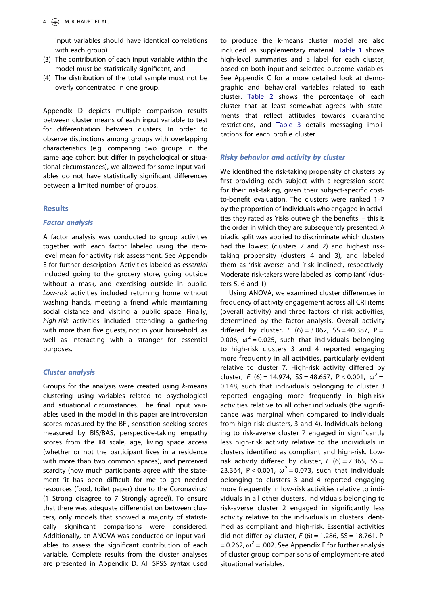input variables should have identical correlations with each group)

- (3) The contribution of each input variable within the model must be statistically significant, and
- (4) The distribution of the total sample must not be overly concentrated in one group.

Appendix D depicts multiple comparison results between cluster means of each input variable to test for differentiation between clusters. In order to observe distinctions among groups with overlapping characteristics (e.g. comparing two groups in the same age cohort but differ in psychological or situational circumstances), we allowed for some input variables do not have statistically significant differences between a limited number of groups.

# **Results**

# Factor analysis

A factor analysis was conducted to group activities together with each factor labeled using the itemlevel mean for activity risk assessment. See Appendix E for further description. Activities labeled as essential included going to the grocery store, going outside without a mask, and exercising outside in public. Low-risk activities included returning home without washing hands, meeting a friend while maintaining social distance and visiting a public space. Finally, high-risk activities included attending a gathering with more than five guests, not in your household, as well as interacting with a stranger for essential purposes.

# Cluster analysis

Groups for the analysis were created using k-means clustering using variables related to psychological and situational circumstances. The final input variables used in the model in this paper are introversion scores measured by the BFI, sensation seeking scores measured by BIS/BAS, perspective-taking empathy scores from the IRI scale, age, living space access (whether or not the participant lives in a residence with more than two common spaces), and perceived scarcity (how much participants agree with the statement 'it has been difficult for me to get needed resources (food, toilet paper) due to the Coronavirus' (1 Strong disagree to 7 Strongly agree)). To ensure that there was adequate differentiation between clusters, only models that showed a majority of statistically significant comparisons were considered. Additionally, an ANOVA was conducted on input variables to assess the significant contribution of each variable. Complete results from the cluster analyses are presented in Appendix D. All SPSS syntax used

to produce the k-means cluster model are also included as supplementary material. [Table 1](#page-4-0) shows high-level summaries and a label for each cluster, based on both input and selected outcome variables. See Appendix C for a more detailed look at demographic and behavioral variables related to each cluster. [Table 2](#page-5-0) shows the percentage of each cluster that at least somewhat agrees with statements that reflect attitudes towards quarantine restrictions, and [Table 3](#page-5-1) details messaging implications for each profile cluster.

# Risky behavior and activity by cluster

We identified the risk-taking propensity of clusters by first providing each subject with a regression score for their risk-taking, given their subject-specific costto-benefit evaluation. The clusters were ranked 1–7 by the proportion of individuals who engaged in activities they rated as 'risks outweigh the benefits' – this is the order in which they are subsequently presented. A triadic split was applied to discriminate which clusters had the lowest (clusters 7 and 2) and highest risktaking propensity (clusters 4 and 3), and labeled them as 'risk averse' and 'risk inclined', respectively. Moderate risk-takers were labeled as 'compliant' (clusters 5, 6 and 1).

Using ANOVA, we examined cluster differences in frequency of activity engagement across all CRI items (overall activity) and three factors of risk activities, determined by the factor analysis. Overall activity differed by cluster,  $F(6) = 3.062$ ,  $SS = 40.387$ ,  $P =$ 0.006,  $\omega^2$  = 0.025, such that individuals belonging to high-risk clusters 3 and 4 reported engaging more frequently in all activities, particularly evident relative to cluster 7. High-risk activity differed by cluster, F (6) = 14.974, SS = 48.657, P < 0.001,  $\omega^2$  = 0.148, such that individuals belonging to cluster 3 reported engaging more frequently in high-risk activities relative to all other individuals (the significance was marginal when compared to individuals from high-risk clusters, 3 and 4). Individuals belonging to risk-averse cluster 7 engaged in significantly less high-risk activity relative to the individuals in clusters identified as compliant and high-risk. Lowrisk activity differed by cluster,  $F(6) = 7.365$ ,  $SS =$ 23.364, P < 0.001,  $\omega^2$  = 0.073, such that individuals belonging to clusters 3 and 4 reported engaging more frequently in low-risk activities relative to individuals in all other clusters. Individuals belonging to risk-averse cluster 2 engaged in significantly less activity relative to the individuals in clusters identified as compliant and high-risk. Essential activities did not differ by cluster,  $F(6) = 1.286$ ,  $SS = 18.761$ , P = 0.262,  $\omega^2$  = .002. See Appendix E for further analysis of cluster group comparisons of employment-related situational variables.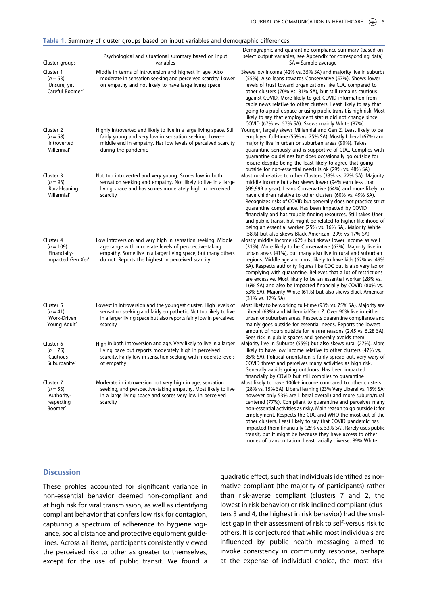| Cluster groups                                                  | Psychological and situational summary based on input<br>variables                                                                                                                                                                        | Demographic and quarantine compliance summary (based on<br>select output variables, see Appendix for corresponding data)<br>$SA =$ Sample average                                                                                                                                                                                                                                                                                                                                                                                                                                                                                                           |
|-----------------------------------------------------------------|------------------------------------------------------------------------------------------------------------------------------------------------------------------------------------------------------------------------------------------|-------------------------------------------------------------------------------------------------------------------------------------------------------------------------------------------------------------------------------------------------------------------------------------------------------------------------------------------------------------------------------------------------------------------------------------------------------------------------------------------------------------------------------------------------------------------------------------------------------------------------------------------------------------|
| Cluster 1<br>$(n = 53)$<br>'Unsure, yet<br>Careful Boomer'      | Middle in terms of introversion and highest in age. Also<br>moderate in sensation seeking and perceived scarcity. Lower<br>on empathy and not likely to have large living space                                                          | Skews low income (42% vs. 35% SA) and majority live in suburbs<br>(55%). Also leans towards Conservative (57%). Shows lower<br>levels of trust toward organizations like CDC compared to<br>other clusters (70% vs. 81% SA), but still remains cautious<br>against COVID. More likely to get COVID information from<br>cable news relative to other clusters. Least likely to say that<br>going to a public space or using public transit is high risk. Most<br>likely to say that employment status did not change since<br>COVID (67% vs. 57% SA). Skews mainly White (87%)                                                                               |
| Cluster 2<br>$(n = 58)$<br>'Introverted<br>Millennial'          | Highly introverted and likely to live in a large living space. Still<br>fairly young and very low in sensation seeking. Lower-<br>middle end in empathy. Has low levels of perceived scarcity<br>during the pandemic                     | Younger, largely skews Millennial and Gen Z. Least likely to be<br>employed full-time (55% vs. 75% SA). Mostly Liberal (67%) and<br>majority live in urban or suburban areas (90%). Takes<br>quarantine seriously and is supportive of CDC. Complies with<br>quarantine quidelines but does occasionally go outside for<br>leisure despite being the least likely to agree that going<br>outside for non-essential needs is ok (29% vs. 48% SA)                                                                                                                                                                                                             |
| Cluster 3<br>$(n = 93)$<br>'Rural-leaning<br>Millennial'        | Not too introverted and very young. Scores low in both<br>sensation seeking and empathy. Not likely to live in a large<br>living space and has scores moderately high in perceived<br>scarcity                                           | Most rural relative to other Clusters (33% vs. 22% SA). Majority<br>middle income but also skews lower (94% earn less than<br>\$99,999 a year). Leans Conservative (64%) and more likely to<br>have children relative to other clusters (60% vs. 49% SA).<br>Recognizes risks of COVID but generally does not practice strict<br>quarantine compliance. Has been impacted by COVID<br>financially and has trouble finding resources. Still takes Uber<br>and public transit but might be related to higher likelihood of<br>being an essential worker (25% vs. 16% SA). Majority White<br>(58%) but also skews Black American (29% vs 17% SA)               |
| Cluster 4<br>$(n = 109)$<br>'Financially-<br>Impacted Gen Xer'  | Low introversion and very high in sensation seeking. Middle<br>age range with moderate levels of perspective-taking<br>empathy. Some live in a larger living space, but many others<br>do not. Reports the highest in perceived scarcity | Mostly middle income (62%) but skews lower income as well<br>(31%). More likely to be Conservative (63%). Majority live in<br>urban areas (41%), but many also live in rural and suburban<br>regions. Middle age and most likely to have kids (62% vs. 49%<br>SA). Respects authority figures like CDC but is also very lax on<br>complying with quarantine. Believes that a lot of restrictions<br>are excessive. Most likely to be an essential worker (28% vs.<br>16% SA) and also be impacted financially by COVID (80% vs.<br>53% SA). Majority White (61%) but also skews Black American<br>(31% vs. 17% SA)                                          |
| Cluster 5<br>$(n = 41)$<br>'Work-Driven<br>Young Adult'         | Lowest in introversion and the youngest cluster. High levels of<br>sensation seeking and fairly empathetic. Not too likely to live<br>in a larger living space but also reports fairly low in perceived<br>scarcity                      | Most likely to be working full-time (93% vs. 75% SA). Majority are<br>Liberal (63%) and Millennial/Gen Z. Over 90% live in either<br>urban or suburban areas. Respects quarantine compliance and<br>mainly goes outside for essential needs. Reports the lowest<br>amount of hours outside for leisure reasons (2.45 vs. 5.28 SA).<br>Sees risk in public spaces and generally avoids them                                                                                                                                                                                                                                                                  |
| Cluster 6<br>$(n = 75)$<br>'Cautious<br>Suburbanite'            | High in both introversion and age. Very likely to live in a larger<br>living pace but reports moderately high in perceived<br>scarcity. Fairly low in sensation seeking with moderate levels<br>of empathy                               | Majority live in Suburbs (55%) but also skews rural (27%). More<br>likely to have low income relative to other clusters (47% vs.<br>35% SA). Political orientation is fairly spread out. Very wary of<br>COVID threat and perceives many activities as high risk.<br>Generally avoids going outdoors. Has been impacted<br>financially by COVID but still complies to quarantine                                                                                                                                                                                                                                                                            |
| Cluster 7<br>$(n = 53)$<br>'Authority-<br>respecting<br>Boomer' | Moderate in introversion but very high in age, sensation<br>seeking, and perspective-taking empathy. Most likely to live<br>in a large living space and scores very low in perceived<br>scarcity                                         | Most likely to have 100k+ income compared to other clusters<br>(28% vs. 15% SA). Liberal leaning (23% Very Liberal vs. 15% SA;<br>however only 53% are Liberal overall) and more suburb/rural<br>centered (77%). Compliant to quarantine and perceives many<br>non-essential activities as risky. Main reason to go outside is for<br>employment. Respects the CDC and WHO the most out of the<br>other clusters. Least likely to say that COVID pandemic has<br>impacted them financially (25% vs. 53% SA). Rarely uses public<br>transit, but it might be because they have access to other<br>modes of transportation. Least racially diverse: 89% White |

<span id="page-4-0"></span>Table 1. Summary of cluster groups based on input variables and demographic differences.

### **Discussion**

These profiles accounted for significant variance in non-essential behavior deemed non-compliant and at high risk for viral transmission, as well as identifying compliant behavior that confers low risk for contagion, capturing a spectrum of adherence to hygiene vigilance, social distance and protective equipment guidelines. Across all items, participants consistently viewed the perceived risk to other as greater to themselves, except for the use of public transit. We found a quadratic effect, such that individuals identified as normative compliant (the majority of participants) rather than risk-averse compliant (clusters 7 and 2, the lowest in risk behavior) or risk-inclined compliant (clusters 3 and 4, the highest in risk behavior) had the smallest gap in their assessment of risk to self-versus risk to others. It is conjectured that while most individuals are influenced by public health messaging aimed to invoke consistency in community response, perhaps at the expense of individual choice, the most risk-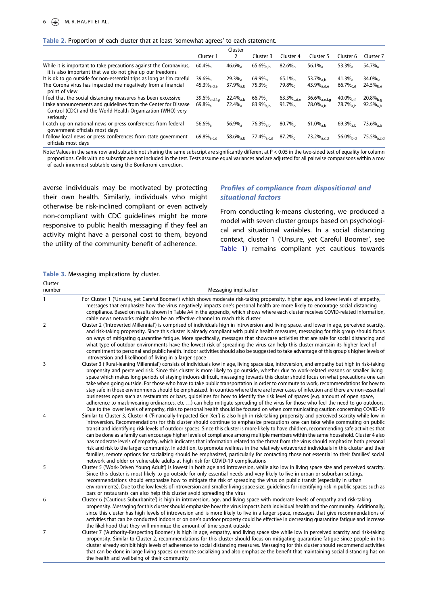#### <span id="page-5-0"></span>Table 2. Proportion of each cluster that at least 'somewhat agrees' to each statement.

|                                                                                                                                            | Cluster               |                         |                        |                    |                             |                        |                        |
|--------------------------------------------------------------------------------------------------------------------------------------------|-----------------------|-------------------------|------------------------|--------------------|-----------------------------|------------------------|------------------------|
|                                                                                                                                            | Cluster 1             | 2                       | Cluster 3              | Cluster 4          | Cluster 5                   | Cluster 6              | Cluster 7              |
| While it is important to take precautions against the Coronavirus,<br>it is also important that we do not give up our freedoms             | $60.4\%$              | $46.6\%$                | 65.6% $_{\rm a.b}$     | $82.6\%$           | $56.1\%$                    | $53.3\%$               | $54.7\%$               |
| It is ok to go outside for non-essential trips as long as I'm careful                                                                      | $39.6\%$ <sub>a</sub> | $29.3\%$                | 69.9% <sub>b</sub>     | $65.1\%$           | 53.7% $_{a,b}$              | $41.3\%$               | $34.0\%$               |
| The Corona virus has impacted me negatively from a financial<br>point of view                                                              | $45.3\%_{a.d.e.}$     | $37.9\%$ <sub>a h</sub> | $75.3\%$               | $79.8\%$           | $43.9\%$ <sub>a.d.e</sub>   | $66.7\%$ <sub>cd</sub> | $24.5\%$               |
| I feel that the social distancing measures has been excessive                                                                              | 39.6 $%_{a.d.f.a}$    | $22.4\%$ <sub>a h</sub> | $66.7\%$               | $63.3\%_{c.d.e.}$  | $36.6\%$ <sub>a.e.f.g</sub> | 40.0% $_{\rm b.f}$     | $20.8\%_{b.a}$         |
| I take announcements and quidelines from the Center for Disease<br>Control (CDC) and the World Health Organization (WHO) very<br>seriously | $69.8\%$              | $72.4\%$                | $83.9\%$ <sub>ah</sub> | 91.7% <sub>b</sub> | 78.0% <sub>a.b</sub>        | 78.7% <sub>a.b</sub>   | $92.5\%_{a,b}$         |
| catch up on national news or press conferences from federal<br>government officials most days                                              | $56.6\%$              | $56.9\%$ <sub>a</sub>   | 76.3% <sub>a.b</sub>   | $80.7\%$           | $61.0\%_{a,b}$              | 69.3 $%_{a,b}$         | 73.6 $\%_{a,b}$        |
| I follow local news or press conferences from state government<br>officials most days                                                      | 69.8 $\%_{a,c,d}$     | 58.6 $%_{a,b}$          | 77.4% <sub>a.c.d</sub> | $87.2\%$           | 73.2% <sub>a.c.d</sub>      | 56.0 $\%_{\rm b.d}$    | 75.5% <sub>a.c.d</sub> |

Note: Values in the same row and subtable not sharing the same subscript are significantly different at P < 0.05 in the two-sided test of equality for column proportions. Cells with no subscript are not included in the test. Tests assume equal variances and are adjusted for all pairwise comparisons within a row of each innermost subtable using the Bonferroni correction.

averse individuals may be motivated by protecting their own health. Similarly, individuals who might otherwise be risk-inclined compliant or even actively non-compliant with CDC guidelines might be more responsive to public health messaging if they feel an activity might have a personal cost to them, beyond the utility of the community benefit of adherence.

# Profiles of compliance from dispositional and situational factors

From conducting k-means clustering, we produced a model with seven cluster groups based on psychological and situational variables. In a social distancing context, cluster 1 ('Unsure, yet Careful Boomer', see [Table 1](#page-4-0)) remains compliant yet cautious towards

#### <span id="page-5-1"></span>Table 3. Messaging implications by cluster.

| Cluster<br>number | Messaging implication                                                                                                                                                                                                                                                                                                                                                                                                                                                                                                                                                                                                                                                                                                                                                                                                                                                                                                                                                                                                                                                                                                      |  |  |  |  |  |  |
|-------------------|----------------------------------------------------------------------------------------------------------------------------------------------------------------------------------------------------------------------------------------------------------------------------------------------------------------------------------------------------------------------------------------------------------------------------------------------------------------------------------------------------------------------------------------------------------------------------------------------------------------------------------------------------------------------------------------------------------------------------------------------------------------------------------------------------------------------------------------------------------------------------------------------------------------------------------------------------------------------------------------------------------------------------------------------------------------------------------------------------------------------------|--|--|--|--|--|--|
| 1                 | For Cluster 1 ('Unsure, yet Careful Boomer') which shows moderate risk-taking propensity, higher age, and lower levels of empathy,<br>messages that emphasize how the virus negatively impacts one's personal health are more likely to encourage social distancing<br>compliance. Based on results shown in Table A4 in the appendix, which shows where each cluster receives COVID-related information,<br>cable news networks might also be an effective channel to reach this cluster                                                                                                                                                                                                                                                                                                                                                                                                                                                                                                                                                                                                                                  |  |  |  |  |  |  |
| 2                 | Cluster 2 ('Introverted Millennial') is comprised of individuals high in introversion and living space, and lower in age, perceived scarcity,<br>and risk-taking propensity. Since this cluster is already compliant with public health measures, messaging for this group should focus<br>on ways of mitigating quarantine fatigue. More specifically, messages that showcase activities that are safe for social distancing and<br>what type of outdoor environments have the lowest risk of spreading the virus can help this cluster maintain its higher level of<br>commitment to personal and public health. Indoor activities should also be suggested to take advantage of this group's higher levels of<br>introversion and likelihood of living in a larger space                                                                                                                                                                                                                                                                                                                                                |  |  |  |  |  |  |
| 3                 | Cluster 3 ('Rural-leaning Millennial') consists of individuals low in age, living space size, introversion, and empathy but high in risk-taking<br>propensity and perceived risk. Since this cluster is more likely to go outside, whether due to work-related reasons or smaller living<br>space which makes long periods of staying indoors difficult, messaging towards this cluster should focus on what precautions one can<br>take when going outside. For those who have to take public transportation in order to commute to work, recommendations for how to<br>stay safe in those environments should be emphasized. In counties where there are lower cases of infection and there are non-essential<br>businesses open such as restaurants or bars, quidelines for how to identify the risk level of spaces (e.g. amount of open space,<br>adherence to mask-wearing ordinances, etc) can help mitigate spreading of the virus for those who feel the need to go outdoors.<br>Due to the lower levels of empathy, risks to personal health should be focused on when communicating caution concerning COVID-19 |  |  |  |  |  |  |
| 4                 | Similar to Cluster 3, Cluster 4 ('Financially-Impacted Gen Xer') is also high in risk-taking propensity and perceived scarcity while low in<br>introversion. Recommendations for this cluster should continue to emphasize precautions one can take while commuting on public<br>transit and identifying risk levels of outdoor spaces. Since this cluster is more likely to have children, recommending safe activities that<br>can be done as a family can encourage higher levels of compliance among multiple members within the same household. Cluster 4 also<br>has moderate levels of empathy, which indicates that information related to the threat from the virus should emphasize both personal<br>risk and risk to the larger community. In addition, to promote wellness in the relatively extraverted individuals in this cluster and their<br>families, remote options for socializing should be emphasized, particularly for contacting those not essential to their families' social<br>network and older or vulnerable adults at high risk for COVID-19 complications                                   |  |  |  |  |  |  |
| 5                 | Cluster 5 ('Work-Driven Young Adult') is lowest in both age and introversion, while also low in living space size and perceived scarcity.<br>Since this cluster is most likely to go outside for only essential needs and very likely to live in urban or suburban settings,<br>recommendations should emphasize how to mitigate the risk of spreading the virus on public transit (especially in urban<br>environments). Due to the low levels of introversion and smaller living space size, quidelines for identifying risk in public spaces such as<br>bars or restaurants can also help this cluster avoid spreading the virus                                                                                                                                                                                                                                                                                                                                                                                                                                                                                        |  |  |  |  |  |  |
| 6                 | Cluster 6 ('Cautious Suburbanite') is high in introversion, age, and living space with moderate levels of empathy and risk-taking<br>propensity. Messaging for this cluster should emphasize how the virus impacts both individual health and the community. Additionally,<br>since this cluster has high levels of introversion and is more likely to live in a larger space, messages that give recommendations of<br>activities that can be conducted indoors or on one's outdoor property could be effective in decreasing quarantine fatique and increase<br>the likelihood that they will minimize the amount of time spent outside                                                                                                                                                                                                                                                                                                                                                                                                                                                                                  |  |  |  |  |  |  |
| $\overline{7}$    | Cluster 7 ('Authority-Respecting Boomer') is high in age, empathy, and living space size while low in perceived scarcity and risk-taking<br>propensity. Similar to Cluster 2, recommendations for this cluster should focus on mitigating quarantine fatigue since people in this<br>cluster already exhibit high levels of adherence to social distancing measures. Messaging for this cluster should recommend activities<br>that can be done in large living spaces or remote socializing and also emphasize the benefit that maintaining social distancing has on<br>the health and wellbeing of their community                                                                                                                                                                                                                                                                                                                                                                                                                                                                                                       |  |  |  |  |  |  |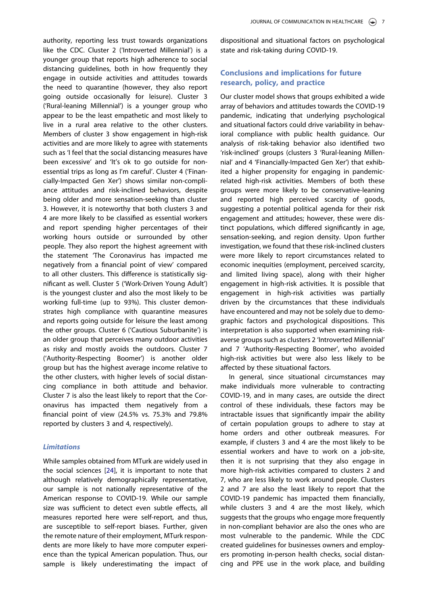authority, reporting less trust towards organizations like the CDC. Cluster 2 ('Introverted Millennial') is a younger group that reports high adherence to social distancing guidelines, both in how frequently they engage in outside activities and attitudes towards the need to quarantine (however, they also report going outside occasionally for leisure). Cluster 3 ('Rural-leaning Millennial') is a younger group who appear to be the least empathetic and most likely to live in a rural area relative to the other clusters. Members of cluster 3 show engagement in high-risk activities and are more likely to agree with statements such as 'I feel that the social distancing measures have been excessive' and 'It's ok to go outside for nonessential trips as long as I'm careful'. Cluster 4 ('Financially-Impacted Gen Xer') shows similar non-compliance attitudes and risk-inclined behaviors, despite being older and more sensation-seeking than cluster 3. However, it is noteworthy that both clusters 3 and 4 are more likely to be classified as essential workers and report spending higher percentages of their working hours outside or surrounded by other people. They also report the highest agreement with the statement 'The Coronavirus has impacted me negatively from a financial point of view' compared to all other clusters. This difference is statistically significant as well. Cluster 5 ('Work-Driven Young Adult') is the youngest cluster and also the most likely to be working full-time (up to 93%). This cluster demonstrates high compliance with quarantine measures and reports going outside for leisure the least among the other groups. Cluster 6 ('Cautious Suburbanite') is an older group that perceives many outdoor activities as risky and mostly avoids the outdoors. Cluster 7 ('Authority-Respecting Boomer') is another older group but has the highest average income relative to the other clusters, with higher levels of social distancing compliance in both attitude and behavior. Cluster 7 is also the least likely to report that the Coronavirus has impacted them negatively from a financial point of view (24.5% vs. 75.3% and 79.8% reported by clusters 3 and 4, respectively).

### **Limitations**

While samples obtained from MTurk are widely used in the social sciences [\[24](#page-8-20)], it is important to note that although relatively demographically representative, our sample is not nationally representative of the American response to COVID-19. While our sample size was sufficient to detect even subtle effects, all measures reported here were self-report, and thus, are susceptible to self-report biases. Further, given the remote nature of their employment, MTurk respondents are more likely to have more computer experience than the typical American population. Thus, our sample is likely underestimating the impact of dispositional and situational factors on psychological state and risk-taking during COVID-19.

# Conclusions and implications for future research, policy, and practice

Our cluster model shows that groups exhibited a wide array of behaviors and attitudes towards the COVID-19 pandemic, indicating that underlying psychological and situational factors could drive variability in behavioral compliance with public health guidance. Our analysis of risk-taking behavior also identified two 'risk-inclined' groups (clusters 3 'Rural-leaning Millennial' and 4 'Financially-Impacted Gen Xer') that exhibited a higher propensity for engaging in pandemicrelated high-risk activities. Members of both these groups were more likely to be conservative-leaning and reported high perceived scarcity of goods, suggesting a potential political agenda for their risk engagement and attitudes; however, these were distinct populations, which differed significantly in age, sensation-seeking, and region density. Upon further investigation, we found that these risk-inclined clusters were more likely to report circumstances related to economic inequities (employment, perceived scarcity, and limited living space), along with their higher engagement in high-risk activities. It is possible that engagement in high-risk activities was partially driven by the circumstances that these individuals have encountered and may not be solely due to demographic factors and psychological dispositions. This interpretation is also supported when examining riskaverse groups such as clusters 2 'Introverted Millennial' and 7 'Authority-Respecting Boomer', who avoided high-risk activities but were also less likely to be affected by these situational factors.

In general, since situational circumstances may make individuals more vulnerable to contracting COVID-19, and in many cases, are outside the direct control of these individuals, these factors may be intractable issues that significantly impair the ability of certain population groups to adhere to stay at home orders and other outbreak measures. For example, if clusters 3 and 4 are the most likely to be essential workers and have to work on a job-site, then it is not surprising that they also engage in more high-risk activities compared to clusters 2 and 7, who are less likely to work around people. Clusters 2 and 7 are also the least likely to report that the COVID-19 pandemic has impacted them financially, while clusters 3 and 4 are the most likely, which suggests that the groups who engage more frequently in non-compliant behavior are also the ones who are most vulnerable to the pandemic. While the CDC created guidelines for businesses owners and employers promoting in-person health checks, social distancing and PPE use in the work place, and building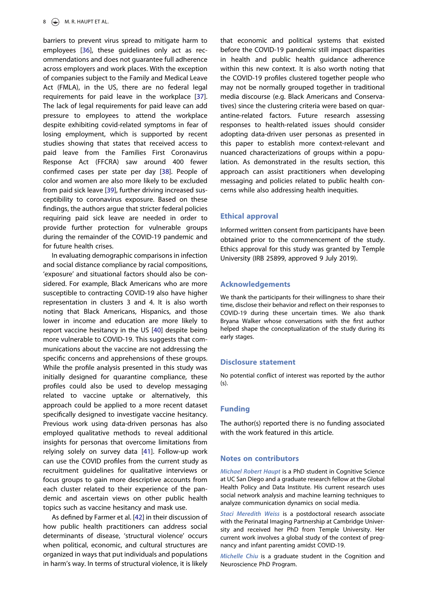<span id="page-7-0"></span>barriers to prevent virus spread to mitigate harm to employees [[36\]](#page-9-8), these guidelines only act as recommendations and does not guarantee full adherence across employers and work places. With the exception of companies subject to the Family and Medical Leave Act (FMLA), in the US, there are no federal legal requirements for paid leave in the workplace [\[37\]](#page-9-9). The lack of legal requirements for paid leave can add pressure to employees to attend the workplace despite exhibiting covid-related symptoms in fear of losing employment, which is supported by recent studies showing that states that received access to paid leave from the Families First Coronavirus Response Act (FFCRA) saw around 400 fewer confirmed cases per state per day [\[38](#page-9-10)]. People of color and women are also more likely to be excluded from paid sick leave [[39\]](#page-9-11), further driving increased susceptibility to coronavirus exposure. Based on these findings, the authors argue that stricter federal policies requiring paid sick leave are needed in order to provide further protection for vulnerable groups during the remainder of the COVID-19 pandemic and for future health crises.

<span id="page-7-3"></span><span id="page-7-2"></span><span id="page-7-1"></span>In evaluating demographic comparisons in infection and social distance compliance by racial compositions, 'exposure' and situational factors should also be considered. For example, Black Americans who are more susceptible to contracting COVID-19 also have higher representation in clusters 3 and 4. It is also worth noting that Black Americans, Hispanics, and those lower in income and education are more likely to report vaccine hesitancy in the US [[40\]](#page-9-12) despite being more vulnerable to COVID-19. This suggests that communications about the vaccine are not addressing the specific concerns and apprehensions of these groups. While the profile analysis presented in this study was initially designed for quarantine compliance, these profiles could also be used to develop messaging related to vaccine uptake or alternatively, this approach could be applied to a more recent dataset specifically designed to investigate vaccine hesitancy. Previous work using data-driven personas has also employed qualitative methods to reveal additional insights for personas that overcome limitations from relying solely on survey data [[41\]](#page-9-13). Follow-up work can use the COVID profiles from the current study as recruitment guidelines for qualitative interviews or focus groups to gain more descriptive accounts from each cluster related to their experience of the pandemic and ascertain views on other public health topics such as vaccine hesitancy and mask use.

<span id="page-7-5"></span><span id="page-7-4"></span>As defined by Farmer et al. [[42\]](#page-9-14) in their discussion of how public health practitioners can address social determinants of disease, 'structural violence' occurs when political, economic, and cultural structures are organized in ways that put individuals and populations in harm's way. In terms of structural violence, it is likely

that economic and political systems that existed before the COVID-19 pandemic still impact disparities in health and public health guidance adherence within this new context. It is also worth noting that the COVID-19 profiles clustered together people who may not be normally grouped together in traditional media discourse (e.g. Black Americans and Conservatives) since the clustering criteria were based on quarantine-related factors. Future research assessing responses to health-related issues should consider adopting data-driven user personas as presented in this paper to establish more context-relevant and nuanced characterizations of groups within a population. As demonstrated in the results section, this approach can assist practitioners when developing messaging and policies related to public health concerns while also addressing health inequities.

### Ethical approval

Informed written consent from participants have been obtained prior to the commencement of the study. Ethics approval for this study was granted by Temple University (IRB 25899, approved 9 July 2019).

### Acknowledgements

We thank the participants for their willingness to share their time, disclose their behavior and reflect on their responses to COVID-19 during these uncertain times. We also thank Bryana Walker whose conversations with the first author helped shape the conceptualization of the study during its early stages.

#### Disclosure statement

No potential conflict of interest was reported by the author (s).

### Funding

The author(s) reported there is no funding associated with the work featured in this article.

# Notes on contributors

Michael Robert Haupt is a PhD student in Cognitive Science at UC San Diego and a graduate research fellow at the Global Health Policy and Data Institute. His current research uses social network analysis and machine learning techniques to analyze communication dynamics on social media.

Staci Meredith Weiss is a postdoctoral research associate with the Perinatal Imaging Partnership at Cambridge University and received her PhD from Temple University. Her current work involves a global study of the context of pregnancy and infant parenting amidst COVID-19.

Michelle Chiu is a graduate student in the Cognition and Neuroscience PhD Program.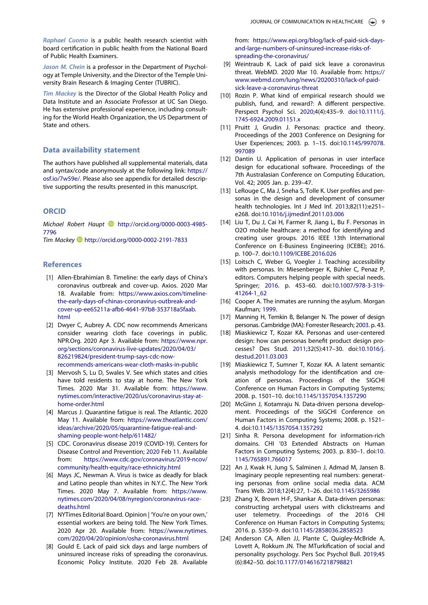Raphael Cuomo is a public health research scientist with board certification in public health from the National Board of Public Health Examiners.

Jason M. Chein is a professor in the Department of Psychology at Temple University, and the Director of the Temple University Brain Research & Imaging Center (TUBRIC).

Tim Mackey is the Director of the Global Health Policy and Data Institute and an Associate Professor at UC San Diego. He has extensive professional experience, including consulting for the World Health Organization, the US Department of State and others.

### Data availability statement

The authors have published all supplemental materials, data and syntax/code anonymously at the following link: [https://](https://osf.io/7w59e/) [osf.io/7w59e/](https://osf.io/7w59e/). Please also see appendix for detailed descriptive supporting the results presented in this manuscript.

### **ORCID**

Michael Robert Haupt **b** [http://orcid.org/0000-0003-4985-](http://orcid.org/0000-0003-4985-7796) [7796](http://orcid.org/0000-0003-4985-7796)

Tim Mackey D<http://orcid.org/0000-0002-2191-7833>

### References

- <span id="page-8-0"></span>[1] Allen-Ebrahimian B. Timeline: the early days of China's coronavirus outbreak and cover-up. Axios. 2020 Mar 18. Available from: [https://www.axios.com/timeline](https://www.axios.com/timeline-the-early-days-of-chinas-coronavirus-outbreak-and-cover-up-ee65211a-afb6-4641-97b8-353718a5faab.html)[the-early-days-of-chinas-coronavirus-outbreak-and](https://www.axios.com/timeline-the-early-days-of-chinas-coronavirus-outbreak-and-cover-up-ee65211a-afb6-4641-97b8-353718a5faab.html)[cover-up-ee65211a-afb6-4641-97b8-353718a5faab.](https://www.axios.com/timeline-the-early-days-of-chinas-coronavirus-outbreak-and-cover-up-ee65211a-afb6-4641-97b8-353718a5faab.html) [html](https://www.axios.com/timeline-the-early-days-of-chinas-coronavirus-outbreak-and-cover-up-ee65211a-afb6-4641-97b8-353718a5faab.html)
- <span id="page-8-1"></span>[2] Dwyer C, Aubrey A. CDC now recommends Americans consider wearing cloth face coverings in public. NPR.Org. 2020 Apr 3. Available from: [https://www.npr.](https://www.npr.org/sections/coronavirus-live-updates/2020/04/03/826219824/president-trump-says-cdc-now-recommends-americans-wear-cloth-masks-in-public) [org/sections/coronavirus-live-updates/2020/04/03/](https://www.npr.org/sections/coronavirus-live-updates/2020/04/03/826219824/president-trump-says-cdc-now-recommends-americans-wear-cloth-masks-in-public) [826219824/president-trump-says-cdc-now](https://www.npr.org/sections/coronavirus-live-updates/2020/04/03/826219824/president-trump-says-cdc-now-recommends-americans-wear-cloth-masks-in-public)[recommends-americans-wear-cloth-masks-in-public](https://www.npr.org/sections/coronavirus-live-updates/2020/04/03/826219824/president-trump-says-cdc-now-recommends-americans-wear-cloth-masks-in-public)
- <span id="page-8-2"></span>[3] Mervosh S, Lu D, Swales V. See which states and cities have told residents to stay at home. The New York Times. 2020 Mar 31. Available from: [https://www.](https://www.nytimes.com/interactive/2020/us/coronavirus-stay-at-home-order.html) [nytimes.com/interactive/2020/us/coronavirus-stay-at](https://www.nytimes.com/interactive/2020/us/coronavirus-stay-at-home-order.html)[home-order.html](https://www.nytimes.com/interactive/2020/us/coronavirus-stay-at-home-order.html)
- <span id="page-8-3"></span>[4] Marcus J. Quarantine fatigue is real. The Atlantic. 2020 May 11. Available from: [https://www.theatlantic.com/](https://www.theatlantic.com/ideas/archive/2020/05/quarantine-fatigue-real-and-shaming-people-wont-help/611482/) [ideas/archive/2020/05/quarantine-fatigue-real-and](https://www.theatlantic.com/ideas/archive/2020/05/quarantine-fatigue-real-and-shaming-people-wont-help/611482/)[shaming-people-wont-help/611482/](https://www.theatlantic.com/ideas/archive/2020/05/quarantine-fatigue-real-and-shaming-people-wont-help/611482/)
- <span id="page-8-4"></span>[5] CDC. Coronavirus disease 2019 (COVID-19). Centers for Disease Control and Prevention; [2020](#page-1-0) Feb 11. Available from: [https://www.cdc.gov/coronavirus/2019-ncov/](https://www.cdc.gov/coronavirus/2019-ncov/community/health-equity/race-ethnicity.html) [community/health-equity/race-ethnicity.html](https://www.cdc.gov/coronavirus/2019-ncov/community/health-equity/race-ethnicity.html)
- <span id="page-8-5"></span>[6] Mays JC, Newman A. Virus is twice as deadly for black and Latino people than whites in N.Y.C. The New York Times. 2020 May 7. Available from: [https://www.](https://www.nytimes.com/2020/04/08/nyregion/coronavirus-race-deaths.html) [nytimes.com/2020/04/08/nyregion/coronavirus-race](https://www.nytimes.com/2020/04/08/nyregion/coronavirus-race-deaths.html)[deaths.html](https://www.nytimes.com/2020/04/08/nyregion/coronavirus-race-deaths.html)
- <span id="page-8-6"></span>[7] NYTimes Editorial Board. Opinion | 'You're on your own,' essential workers are being told. The New York Times. 2020 Apr 20. Available from: [https://www.nytimes.](https://www.nytimes.com/2020/04/20/opinion/osha-coronavirus.html) [com/2020/04/20/opinion/osha-coronavirus.html](https://www.nytimes.com/2020/04/20/opinion/osha-coronavirus.html)
- <span id="page-8-7"></span>[8] Gould E. Lack of paid sick days and large numbers of uninsured increase risks of spreading the coronavirus. Economic Policy Institute. 2020 Feb 28. Available

from: [https://www.epi.org/blog/lack-of-paid-sick-days](https://www.epi.org/blog/lack-of-paid-sick-days-and-large-numbers-of-uninsured-increase-risks-of-spreading-the-coronavirus/)[and-large-numbers-of-uninsured-increase-risks-of](https://www.epi.org/blog/lack-of-paid-sick-days-and-large-numbers-of-uninsured-increase-risks-of-spreading-the-coronavirus/)[spreading-the-coronavirus/](https://www.epi.org/blog/lack-of-paid-sick-days-and-large-numbers-of-uninsured-increase-risks-of-spreading-the-coronavirus/)

- <span id="page-8-8"></span>[9] Weintraub K. Lack of paid sick leave a coronavirus threat. WebMD. 2020 Mar 10. Available from: [https://](https://www.webmd.com/lung/news/20200310/lack-of-paid-sick-leave-a-coronavirus-threat) [www.webmd.com/lung/news/20200310/lack-of-paid](https://www.webmd.com/lung/news/20200310/lack-of-paid-sick-leave-a-coronavirus-threat)[sick-leave-a-coronavirus-threat](https://www.webmd.com/lung/news/20200310/lack-of-paid-sick-leave-a-coronavirus-threat)
- <span id="page-8-9"></span>[10] Rozin P. What kind of empirical research should we publish, fund, and reward?: A different perspective. Perspect Psychol Sci. [2020](#page-1-1);4(4):435–9. [doi:10.1111/j.](doi:10.1111/j.1745-6924.2009.01151.x) [1745-6924.2009.01151.x](doi:10.1111/j.1745-6924.2009.01151.x)
- <span id="page-8-10"></span>[11] Pruitt J, Grudin J. Personas: practice and theory. Proceedings of the 2003 Conference on Designing for User Experiences; 2003. p. 1–15. doi[:10.1145/997078.](https://doi.org/10.1145/997078.997089) [997089](https://doi.org/10.1145/997078.997089)
- <span id="page-8-11"></span>[12] Dantin U. Application of personas in user interface design for educational software. Proceedings of the 7th Australasian Conference on Computing Education, Vol. 42; 2005 Jan. p. 239–47.
- <span id="page-8-12"></span>[13] LeRouge C, Ma J, Sneha S, Tolle K. User profiles and personas in the design and development of consumer health technologies. Int J Med Inf. [2013](#page-1-2);82(11):e251– e268. doi:[10.1016/j.ijmedinf.2011.03.006](https://doi.org/10.1016/j.ijmedinf.2011.03.006)
- <span id="page-8-13"></span>[14] Liu T, Du J, Cai H, Farmer R, Jiang L, Bu F. Personas in O2O mobile healthcare: a method for identifying and creating user groups. 2016 IEEE 13th International Conference on E-Business Engineering (ICEBE); 2016. p. 100–7. doi[:10.1109/ICEBE.2016.026](https://doi.org/10.1109/ICEBE.2016.026)
- <span id="page-8-14"></span>[15] Loitsch C, Weber G, Voegler J. Teaching accessibility with personas. In: Miesenberger K, Bühler C, Penaz P, editors. Computers helping people with special needs. Springer; [2016.](#page-1-3) p. 453–60. doi[:10.1007/978-3-319-](https://doi.org/10.1007/978-3-319-41264-1_62) [41264-1\\_62](https://doi.org/10.1007/978-3-319-41264-1_62)
- <span id="page-8-15"></span>[16] Cooper A. The inmates are running the asylum. Morgan Kaufman; [1999.](#page-1-4)
- <span id="page-8-16"></span>[17] Manning H, Temkin B, Belanger N. The power of design personas. Cambridge (MA): Forrester Research; [2003.](#page-1-5) p. 43.
- <span id="page-8-17"></span>[18] Miaskiewicz T, Kozar KA. Personas and user-centered design: how can personas benefit product design processes? Des Stud. [2011;](#page-1-6)32(5):417–30. doi:[10.1016/j.](https://doi.org/10.1016/j.destud.2011.03.003) [destud.2011.03.003](https://doi.org/10.1016/j.destud.2011.03.003)
- [19] Miaskiewicz T, Sumner T, Kozar KA. A latent semantic analysis methodology for the identification and creation of personas. Proceedings of the SIGCHI Conference on Human Factors in Computing Systems; 2008. p. 1501–10. doi[:10.1145/1357054.1357290](https://doi.org/10.1145/1357054.1357290)
- [20] McGinn J, Kotamraju N. Data-driven persona development. Proceedings of the SIGCHI Conference on Human Factors in Computing Systems; 2008. p. 1521– 4. doi[:10.1145/1357054.1357292](https://doi.org/10.1145/1357054.1357292)
- [21] Sinha R. Persona development for information-rich domains. CHI '03 Extended Abstracts on Human Factors in Computing Systems; 2003. p. 830–1. doi[:10.](https://doi.org/10.1145/765891.766017) [1145/765891.766017](https://doi.org/10.1145/765891.766017)
- <span id="page-8-18"></span>[22] An J, Kwak H, Jung S, Salminen J, Admad M, Jansen B. Imaginary people representing real numbers: generating personas from online social media data. ACM Trans Web. [2018](#page-1-7);12(4):27, 1–26. doi:[10.1145/3265986](https://doi.org/10.1145/3265986)
- <span id="page-8-19"></span>[23] Zhang X, Brown H-F, Shankar A. Data-driven personas: constructing archetypal users with clickstreams and user telemetry. Proceedings of the 2016 CHI Conference on Human Factors in Computing Systems; 2016. p. 5350–9. doi:[10.1145/2858036.2858523](https://doi.org/10.1145/2858036.2858523)
- <span id="page-8-20"></span>[24] Anderson CA, Allen JJ, Plante C, Quigley-McBride A, Lovett A, Rokkum JN. The MTurkification of social and personality psychology. Pers Soc Psychol Bull. [2019](#page-1-8);45 (6):842–50. doi:[10.1177/0146167218798821](https://doi.org/10.1177/0146167218798821)